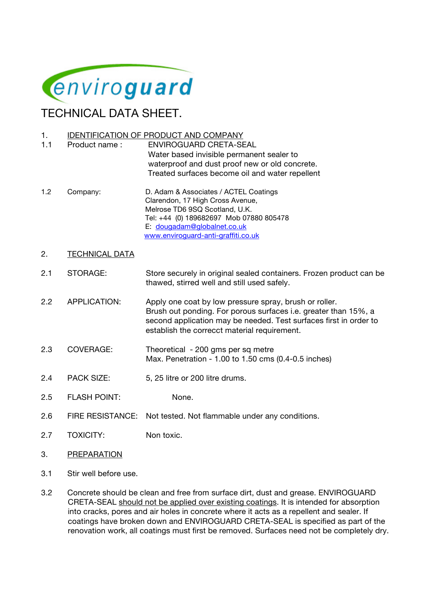

# 1. IDENTIFICATION OF PRODUCT AND COMPANY

| 1.1 | Product name: | ENVIROGUARD CRETA-SEAL                          |
|-----|---------------|-------------------------------------------------|
|     |               | Water based invisible permanent sealer to       |
|     |               | waterproof and dust proof new or old concrete.  |
|     |               | Treated surfaces become oil and water repellent |

- 1.2 Company: D. Adam & Associates / ACTEL Coatings Clarendon, 17 High Cross Avenue, Melrose TD6 9SQ Scotland, U.K. Tel: +44 (0) 189682697 Mob 07880 805478 E: dougadam@globalnet.co.uk www.enviroguard-anti-graffiti.co.uk
- 2. TECHNICAL DATA

# 2.1 STORAGE: Store securely in original sealed containers. Frozen product can be thawed, stirred well and still used safely.

- 2.2 APPLICATION: Apply one coat by low pressure spray, brush or roller. Brush out ponding. For porous surfaces i.e. greater than 15%, a second application may be needed. Test surfaces first in order to establish the correcct material requirement.
- 2.3 COVERAGE: Theoretical 200 gms per sq metre Max. Penetration - 1.00 to 1.50 cms (0.4-0.5 inches)
- 2.4 PACK SIZE: 5, 25 litre or 200 litre drums.
- 2.5 FLASH POINT: None.
- 2.6 FIRE RESISTANCE: Not tested. Not flammable under any conditions.
- 2.7 TOXICITY: Non toxic.
- 3. PREPARATION
- 3.1 Stir well before use.
- 3.2 Concrete should be clean and free from surface dirt, dust and grease. ENVIROGUARD CRETA-SEAL should not be applied over existing coatings. It is intended for absorption into cracks, pores and air holes in concrete where it acts as a repellent and sealer. If coatings have broken down and ENVIROGUARD CRETA-SEAL is specified as part of the renovation work, all coatings must first be removed. Surfaces need not be completely dry.